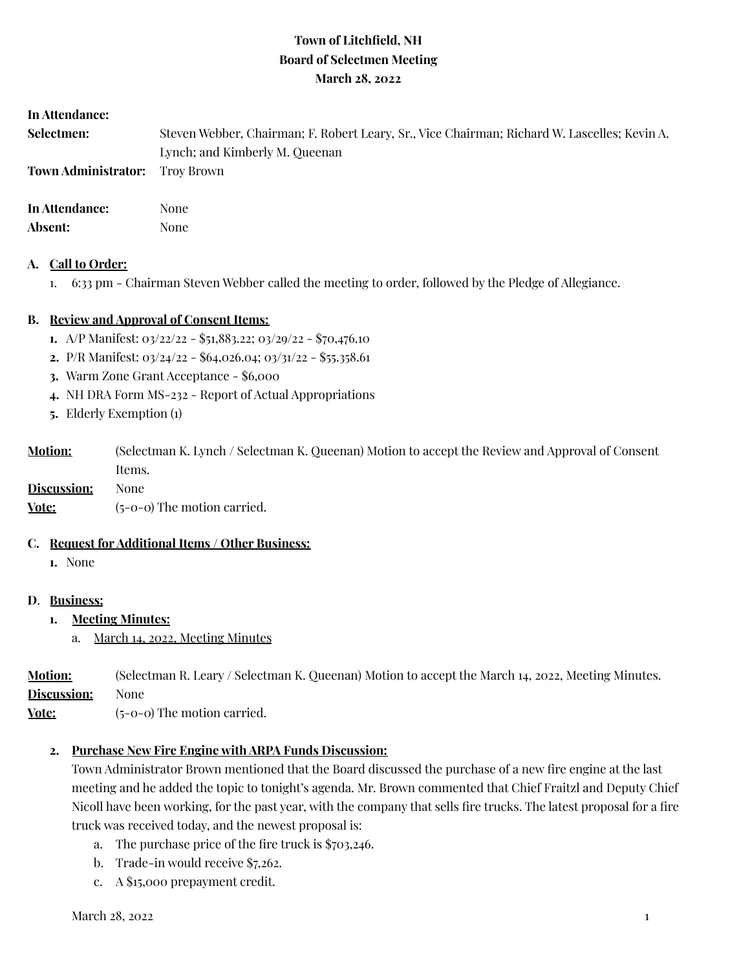# **Town of Litchfield, NH Board of Selectmen Meeting March 28, 2022**

#### **In Attendance:**

| <b>Selectmen:</b> | Steven Webber, Chairman; F. Robert Leary, Sr., Vice Chairman; Richard W. Lascelles; Kevin A. |
|-------------------|----------------------------------------------------------------------------------------------|
|                   | Lynch; and Kimberly M. Queenan                                                               |
|                   |                                                                                              |
|                   | $\mathbf{M}$                                                                                 |

**In Attendance:** None Absent: None

#### **A. Call to Order:**

1. 6:33 pm - Chairman Steven Webber called the meeting to order, followed by the Pledge of Allegiance.

## **B. Review and Approval of Consent Items:**

- **1.** A/P Manifest: 03/22/22 \$51,883.22; 03/29/22 \$70,476.10
- **2.** P/R Manifest: 03/24/22 \$64,026.04; 03/31/22 \$55.358.61
- **3.** Warm Zone Grant Acceptance \$6,000
- **4.** NH DRA Form MS-232 Report of Actual Appropriations
- **5.** Elderly Exemption (1)

| <b>Motion:</b> | (Selectman K. Lynch / Selectman K. Queenan) Motion to accept the Review and Approval of Consent |
|----------------|-------------------------------------------------------------------------------------------------|
|                | Items.                                                                                          |

**Discussion:** None **Vote:** (5-0-0) The motion carried.

# **C. Request for Additional Items / Other Business:**

**1.** None

## **D**. **Business:**

- **1. Meeting Minutes:**
	- a. March 14, 2022, Meeting Minutes

**Motion:** (Selectman R. Leary / Selectman K. Queenan) Motion to accept the March 14, 2022, Meeting Minutes. **Discussion:** None

**Vote:** (5-0-0) The motion carried.

## **2. Purchase New Fire Engine with ARPA Funds Discussion:**

Town Administrator Brown mentioned that the Board discussed the purchase of a new fire engine at the last meeting and he added the topic to tonight's agenda. Mr. Brown commented that Chief Fraitzl and Deputy Chief Nicoll have been working, for the past year, with the company that sells fire trucks. The latest proposal for a fire truck was received today, and the newest proposal is:

- a. The purchase price of the fire truck is \$703,246.
- b. Trade-in would receive \$7,262.
- c. A \$15,000 prepayment credit.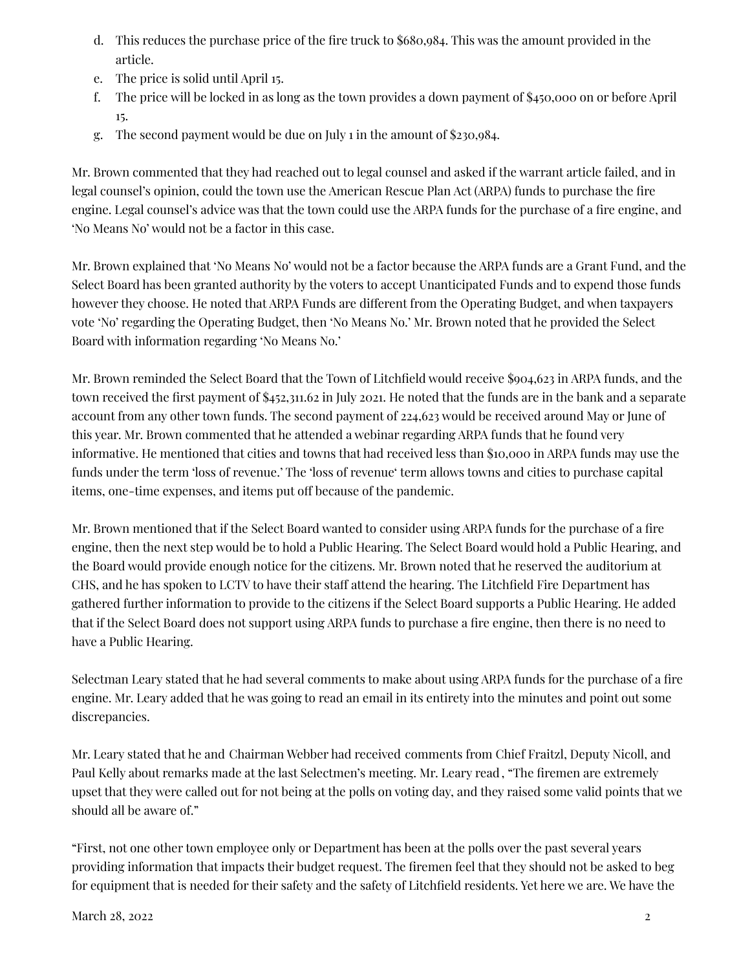- d. This reduces the purchase price of the fire truck to \$680,984. This was the amount provided in the article.
- e. The price is solid until April 15.
- f. The price will be locked in as long as the town provides a down payment of \$450,000 on or before April 15.
- g. The second payment would be due on July 1 in the amount of \$230,984.

Mr. Brown commented that they had reached out to legal counsel and asked if the warrant article failed, and in legal counsel's opinion, could the town use the American Rescue Plan Act (ARPA) funds to purchase the fire engine. Legal counsel's advice was that the town could use the ARPA funds for the purchase of a fire engine, and 'No Means No' would not be a factor in this case.

Mr. Brown explained that 'No Means No' would not be a factor because the ARPA funds are a Grant Fund, and the Select Board has been granted authority by the voters to accept Unanticipated Funds and to expend those funds however they choose. He noted that ARPA Funds are different from the Operating Budget, and when taxpayers vote 'No' regarding the Operating Budget, then 'No Means No.' Mr. Brown noted that he provided the Select Board with information regarding 'No Means No.'

Mr. Brown reminded the Select Board that the Town of Litchfield would receive \$904,623 in ARPA funds, and the town received the first payment of \$452,311.62 in July 2021. He noted that the funds are in the bank and a separate account from any other town funds. The second payment of 224,623 would be received around May or June of this year. Mr. Brown commented that he attended a webinar regarding ARPA funds that he found very informative. He mentioned that cities and towns that had received less than \$10,000 in ARPA funds may use the funds under the term 'loss of revenue.' The 'loss of revenue' term allows towns and cities to purchase capital items, one-time expenses, and items put off because of the pandemic.

Mr. Brown mentioned that if the Select Board wanted to consider using ARPA funds for the purchase of a fire engine, then the next step would be to hold a Public Hearing. The Select Board would hold a Public Hearing, and the Board would provide enough notice for the citizens. Mr. Brown noted that he reserved the auditorium at CHS, and he has spoken to LCTV to have their staff attend the hearing. The Litchfield Fire Department has gathered further information to provide to the citizens if the Select Board supports a Public Hearing. He added that if the Select Board does not support using ARPA funds to purchase a fire engine, then there is no need to have a Public Hearing.

Selectman Leary stated that he had several comments to make about using ARPA funds for the purchase of a fire engine. Mr. Leary added that he was going to read an email in its entirety into the minutes and point out some discrepancies.

Mr. Leary stated that he and Chairman Webber had received comments from Chief Fraitzl, Deputy Nicoll, and Paul Kelly about remarks made at the last Selectmen's meeting. Mr. Leary read , "The firemen are extremely upset that they were called out for not being at the polls on voting day, and they raised some valid points that we should all be aware of."

"First, not one other town employee only or Department has been at the polls over the past several years providing information that impacts their budget request. The firemen feel that they should not be asked to beg for equipment that is needed for their safety and the safety of Litchfield residents. Yet here we are. We have the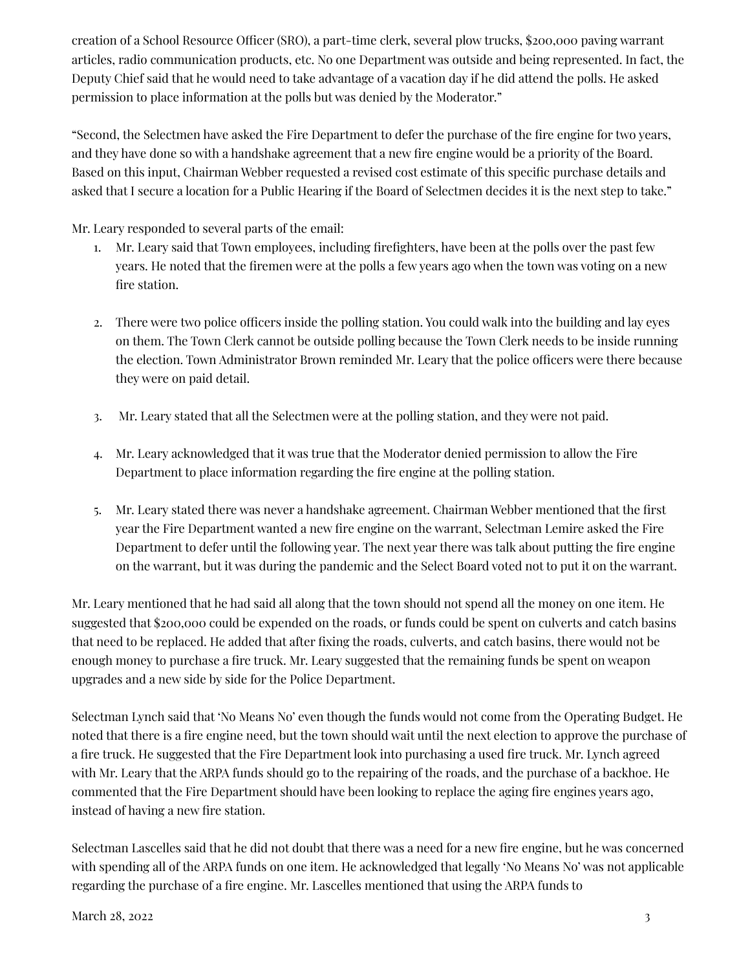creation of a School Resource Officer (SRO), a part-time clerk, several plow trucks, \$200,000 paving warrant articles, radio communication products, etc. No one Department was outside and being represented. In fact, the Deputy Chief said that he would need to take advantage of a vacation day if he did attend the polls. He asked permission to place information at the polls but was denied by the Moderator."

"Second, the Selectmen have asked the Fire Department to defer the purchase of the fire engine for two years, and they have done so with a handshake agreement that a new fire engine would be a priority of the Board. Based on this input, Chairman Webber requested a revised cost estimate of this specific purchase details and asked that I secure a location for a Public Hearing if the Board of Selectmen decides it is the next step to take."

Mr. Leary responded to several parts of the email:

- 1. Mr. Leary said that Town employees, including firefighters, have been at the polls over the past few years. He noted that the firemen were at the polls a few years ago when the town was voting on a new fire station.
- 2. There were two police officers inside the polling station. You could walk into the building and lay eyes on them. The Town Clerk cannot be outside polling because the Town Clerk needs to be inside running the election. Town Administrator Brown reminded Mr. Leary that the police officers were there because they were on paid detail.
- 3. Mr. Leary stated that all the Selectmen were at the polling station, and they were not paid.
- 4. Mr. Leary acknowledged that it was true that the Moderator denied permission to allow the Fire Department to place information regarding the fire engine at the polling station.
- 5. Mr. Leary stated there was never a handshake agreement. Chairman Webber mentioned that the first year the Fire Department wanted a new fire engine on the warrant, Selectman Lemire asked the Fire Department to defer until the following year. The next year there was talk about putting the fire engine on the warrant, but it was during the pandemic and the Select Board voted not to put it on the warrant.

Mr. Leary mentioned that he had said all along that the town should not spend all the money on one item. He suggested that \$200,000 could be expended on the roads, or funds could be spent on culverts and catch basins that need to be replaced. He added that after fixing the roads, culverts, and catch basins, there would not be enough money to purchase a fire truck. Mr. Leary suggested that the remaining funds be spent on weapon upgrades and a new side by side for the Police Department.

Selectman Lynch said that 'No Means No' even though the funds would not come from the Operating Budget. He noted that there is a fire engine need, but the town should wait until the next election to approve the purchase of a fire truck. He suggested that the Fire Department look into purchasing a used fire truck. Mr. Lynch agreed with Mr. Leary that the ARPA funds should go to the repairing of the roads, and the purchase of a backhoe. He commented that the Fire Department should have been looking to replace the aging fire engines years ago, instead of having a new fire station.

Selectman Lascelles said that he did not doubt that there was a need for a new fire engine, but he was concerned with spending all of the ARPA funds on one item. He acknowledged that legally 'No Means No' was not applicable regarding the purchase of a fire engine. Mr. Lascelles mentioned that using the ARPA funds to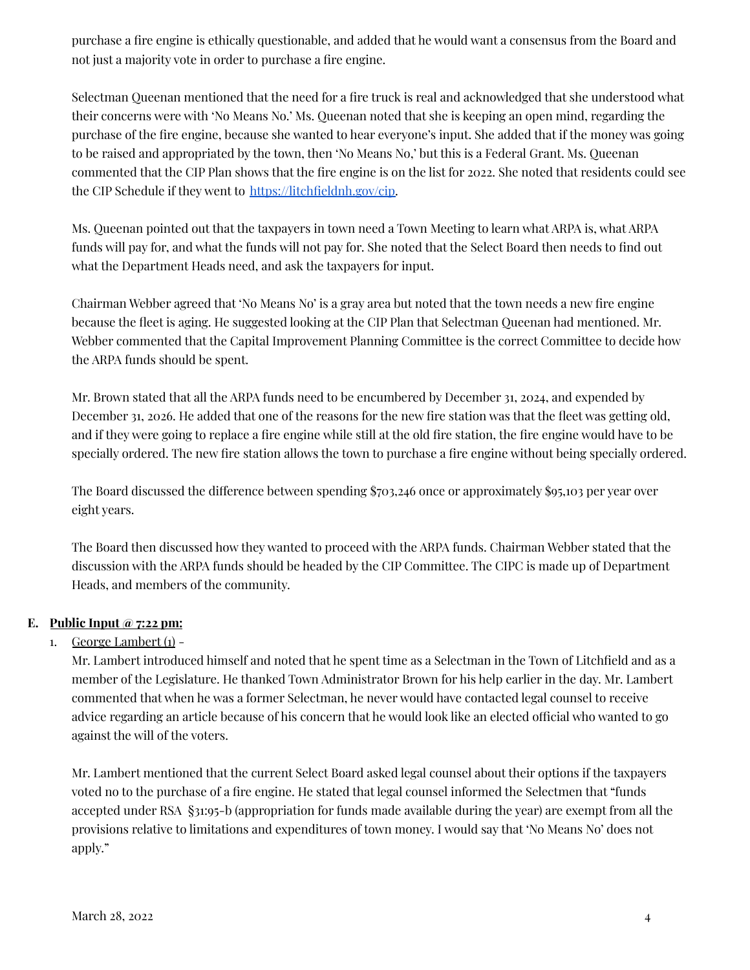purchase a fire engine is ethically questionable, and added that he would want a consensus from the Board and not just a majority vote in order to purchase a fire engine.

Selectman Queenan mentioned that the need for a fire truck is real and acknowledged that she understood what their concerns were with 'No Means No.' Ms. Queenan noted that she is keeping an open mind, regarding the purchase of the fire engine, because she wanted to hear everyone's input. She added that if the money was going to be raised and appropriated by the town, then 'No Means No,' but this is a Federal Grant. Ms. Queenan commented that the CIP Plan shows that the fire engine is on the list for 2022. She noted that residents could see the CIP Schedule if they went to [https://litchfieldnh.gov/cip.](https://litchfieldnh.gov/cip)

Ms. Queenan pointed out that the taxpayers in town need a Town Meeting to learn what ARPA is, what ARPA funds will pay for, and what the funds will not pay for. She noted that the Select Board then needs to find out what the Department Heads need, and ask the taxpayers for input.

Chairman Webber agreed that 'No Means No' is a gray area but noted that the town needs a new fire engine because the fleet is aging. He suggested looking at the CIP Plan that Selectman Queenan had mentioned. Mr. Webber commented that the Capital Improvement Planning Committee is the correct Committee to decide how the ARPA funds should be spent.

Mr. Brown stated that all the ARPA funds need to be encumbered by December 31, 2024, and expended by December 31, 2026. He added that one of the reasons for the new fire station was that the fleet was getting old, and if they were going to replace a fire engine while still at the old fire station, the fire engine would have to be specially ordered. The new fire station allows the town to purchase a fire engine without being specially ordered.

The Board discussed the difference between spending \$703,246 once or approximately \$95,103 per year over eight years.

The Board then discussed how they wanted to proceed with the ARPA funds. Chairman Webber stated that the discussion with the ARPA funds should be headed by the CIP Committee. The CIPC is made up of Department Heads, and members of the community.

# **E. Public Input @ 7:22 pm:**

# 1. George Lambert  $(i)$  -

Mr. Lambert introduced himself and noted that he spent time as a Selectman in the Town of Litchfield and as a member of the Legislature. He thanked Town Administrator Brown for his help earlier in the day. Mr. Lambert commented that when he was a former Selectman, he never would have contacted legal counsel to receive advice regarding an article because of his concern that he would look like an elected official who wanted to go against the will of the voters.

Mr. Lambert mentioned that the current Select Board asked legal counsel about their options if the taxpayers voted no to the purchase of a fire engine. He stated that legal counsel informed the Selectmen that "funds accepted under RSA §31:95-b (appropriation for funds made available during the year) are exempt from all the provisions relative to limitations and expenditures of town money. I would say that 'No Means No' does not apply."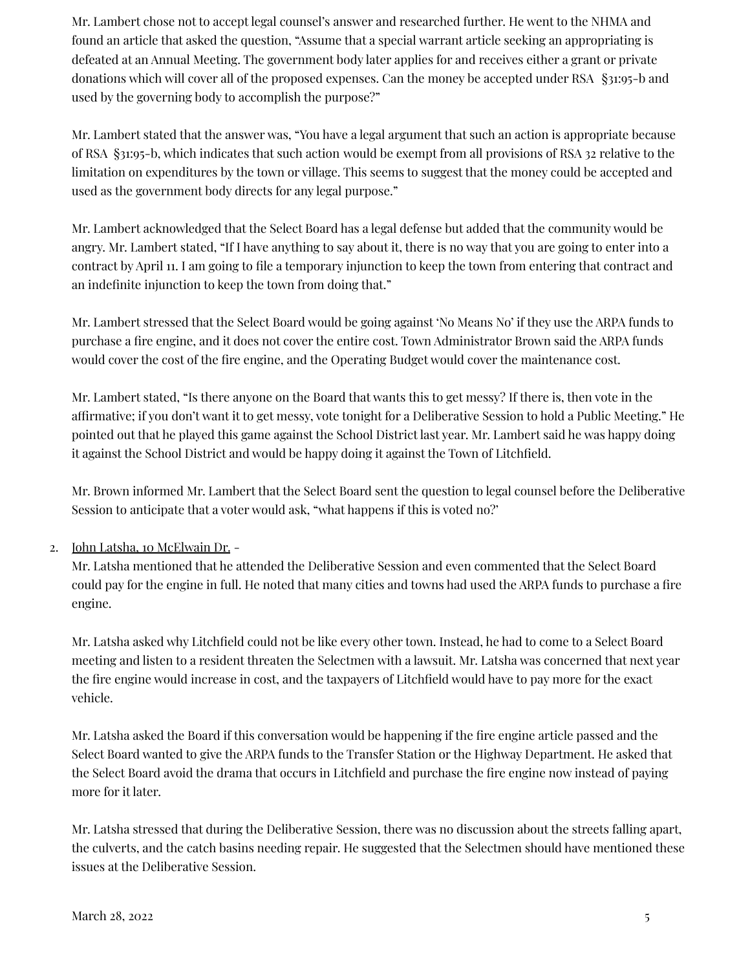Mr. Lambert chose not to accept legal counsel's answer and researched further. He went to the NHMA and found an article that asked the question, "Assume that a special warrant article seeking an appropriating is defeated at an Annual Meeting. The government body later applies for and receives either a grant or private donations which will cover all of the proposed expenses. Can the money be accepted under RSA §31:95-b and used by the governing body to accomplish the purpose?"

Mr. Lambert stated that the answer was, "You have a legal argument that such an action is appropriate because of RSA §31:95-b, which indicates that such action would be exempt from all provisions of RSA 32 relative to the limitation on expenditures by the town or village. This seems to suggest that the money could be accepted and used as the government body directs for any legal purpose."

Mr. Lambert acknowledged that the Select Board has a legal defense but added that the community would be angry. Mr. Lambert stated, "If I have anything to say about it, there is no way that you are going to enter into a contract by April 11. I am going to file a temporary injunction to keep the town from entering that contract and an indefinite injunction to keep the town from doing that."

Mr. Lambert stressed that the Select Board would be going against 'No Means No' if they use the ARPA funds to purchase a fire engine, and it does not cover the entire cost. Town Administrator Brown said the ARPA funds would cover the cost of the fire engine, and the Operating Budget would cover the maintenance cost.

Mr. Lambert stated, "Is there anyone on the Board that wants this to get messy? If there is, then vote in the affirmative; if you don't want it to get messy, vote tonight for a Deliberative Session to hold a Public Meeting." He pointed out that he played this game against the School District last year. Mr. Lambert said he was happy doing it against the School District and would be happy doing it against the Town of Litchfield.

Mr. Brown informed Mr. Lambert that the Select Board sent the question to legal counsel before the Deliberative Session to anticipate that a voter would ask, "what happens if this is voted no?'

# 2. John Latsha, 10 McElwain Dr. -

Mr. Latsha mentioned that he attended the Deliberative Session and even commented that the Select Board could pay for the engine in full. He noted that many cities and towns had used the ARPA funds to purchase a fire engine.

Mr. Latsha asked why Litchfield could not be like every other town. Instead, he had to come to a Select Board meeting and listen to a resident threaten the Selectmen with a lawsuit. Mr. Latsha was concerned that next year the fire engine would increase in cost, and the taxpayers of Litchfield would have to pay more for the exact vehicle.

Mr. Latsha asked the Board if this conversation would be happening if the fire engine article passed and the Select Board wanted to give the ARPA funds to the Transfer Station or the Highway Department. He asked that the Select Board avoid the drama that occurs in Litchfield and purchase the fire engine now instead of paying more for it later.

Mr. Latsha stressed that during the Deliberative Session, there was no discussion about the streets falling apart, the culverts, and the catch basins needing repair. He suggested that the Selectmen should have mentioned these issues at the Deliberative Session.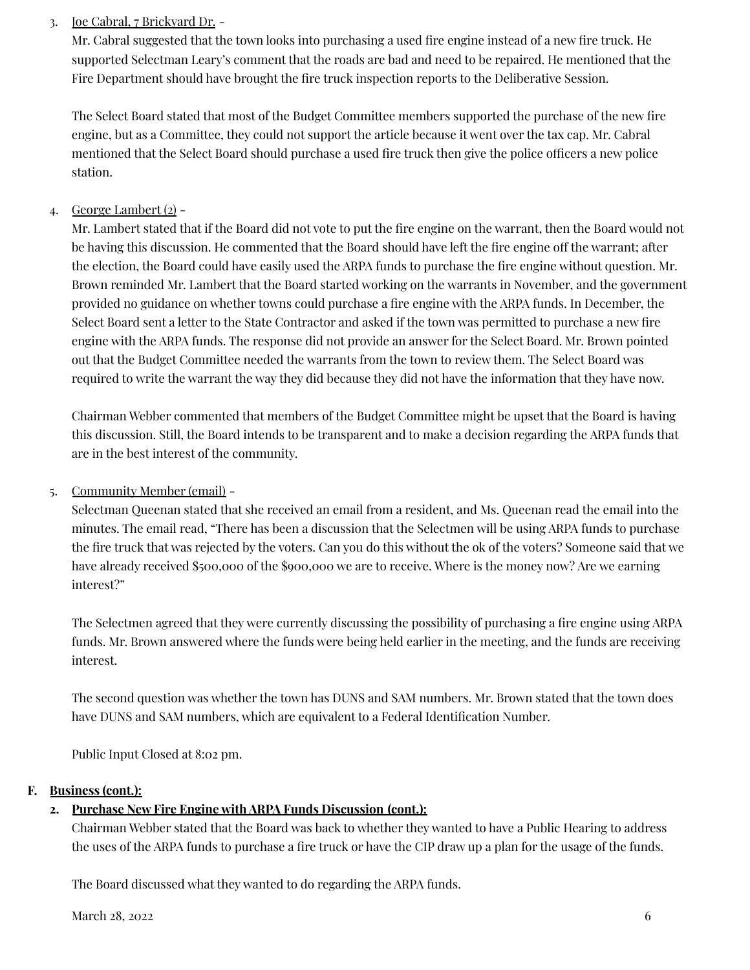## 3. Joe Cabral, 7 Brickyard Dr. -

Mr. Cabral suggested that the town looks into purchasing a used fire engine instead of a new fire truck. He supported Selectman Leary's comment that the roads are bad and need to be repaired. He mentioned that the Fire Department should have brought the fire truck inspection reports to the Deliberative Session.

The Select Board stated that most of the Budget Committee members supported the purchase of the new fire engine, but as a Committee, they could not support the article because it went over the tax cap. Mr. Cabral mentioned that the Select Board should purchase a used fire truck then give the police officers a new police station.

## 4. George Lambert (2) -

Mr. Lambert stated that if the Board did not vote to put the fire engine on the warrant, then the Board would not be having this discussion. He commented that the Board should have left the fire engine off the warrant; after the election, the Board could have easily used the ARPA funds to purchase the fire engine without question. Mr. Brown reminded Mr. Lambert that the Board started working on the warrants in November, and the government provided no guidance on whether towns could purchase a fire engine with the ARPA funds. In December, the Select Board sent a letter to the State Contractor and asked if the town was permitted to purchase a new fire engine with the ARPA funds. The response did not provide an answer for the Select Board. Mr. Brown pointed out that the Budget Committee needed the warrants from the town to review them. The Select Board was required to write the warrant the way they did because they did not have the information that they have now.

Chairman Webber commented that members of the Budget Committee might be upset that the Board is having this discussion. Still, the Board intends to be transparent and to make a decision regarding the ARPA funds that are in the best interest of the community.

## 5. Community Member (email) -

Selectman Queenan stated that she received an email from a resident, and Ms. Queenan read the email into the minutes. The email read, "There has been a discussion that the Selectmen will be using ARPA funds to purchase the fire truck that was rejected by the voters. Can you do this without the ok of the voters? Someone said that we have already received \$500,000 of the \$900,000 we are to receive. Where is the money now? Are we earning interest?"

The Selectmen agreed that they were currently discussing the possibility of purchasing a fire engine using ARPA funds. Mr. Brown answered where the funds were being held earlier in the meeting, and the funds are receiving interest.

The second question was whether the town has DUNS and SAM numbers. Mr. Brown stated that the town does have DUNS and SAM numbers, which are equivalent to a Federal Identification Number.

Public Input Closed at 8:02 pm.

## **F. Business (cont.):**

# **2. Purchase New Fire Engine with ARPA Funds Discussion (cont.):**

Chairman Webber stated that the Board was back to whether they wanted to have a Public Hearing to address the uses of the ARPA funds to purchase a fire truck or have the CIP draw up a plan for the usage of the funds.

The Board discussed what they wanted to do regarding the ARPA funds.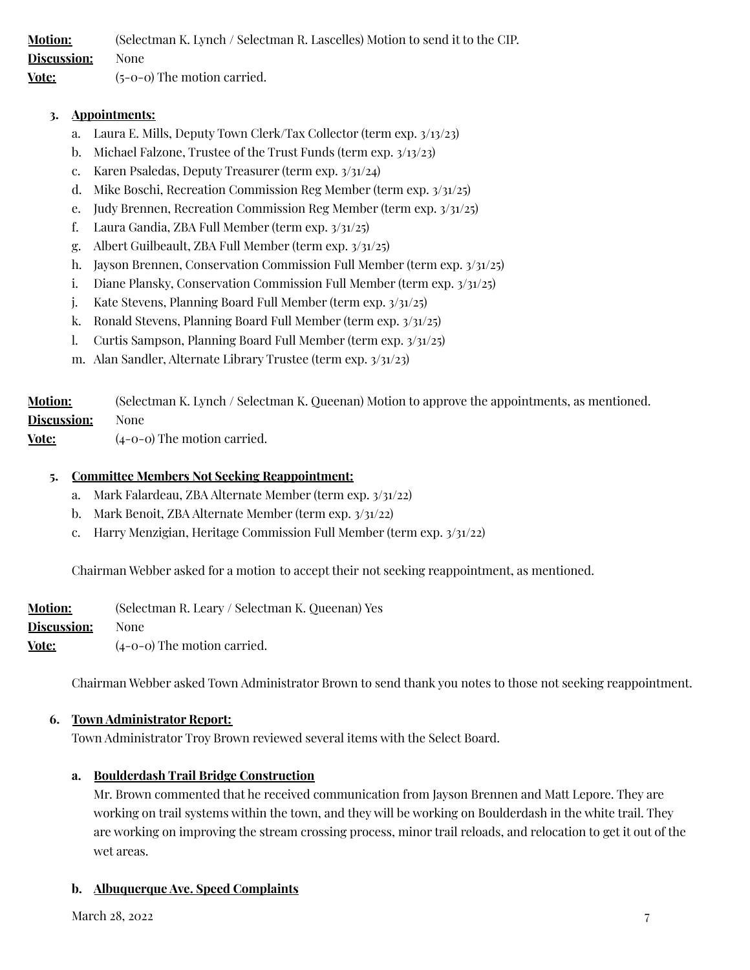**Motion:** (Selectman K. Lynch / Selectman R. Lascelles) Motion to send it to the CIP. **Discussion:** None **Vote:** (5-0-0) The motion carried.

#### **3. Appointments:**

- a. Laura E. Mills, Deputy Town Clerk/Tax Collector (term exp. 3/13/23)
- b. Michael Falzone, Trustee of the Trust Funds (term exp. 3/13/23)
- c. Karen Psaledas, Deputy Treasurer (term exp. 3/31/24)
- d. Mike Boschi, Recreation Commission Reg Member (term exp. 3/31/25)
- e. Judy Brennen, Recreation Commission Reg Member (term exp. 3/31/25)
- f. Laura Gandia, ZBA Full Member (term exp. 3/31/25)
- g. Albert Guilbeault, ZBA Full Member (term exp. 3/31/25)
- h. Jayson Brennen, Conservation Commission Full Member (term exp. 3/31/25)
- i. Diane Plansky, Conservation Commission Full Member (term exp. 3/31/25)
- j. Kate Stevens, Planning Board Full Member (term exp. 3/31/25)
- k. Ronald Stevens, Planning Board Full Member (term exp. 3/31/25)
- l. Curtis Sampson, Planning Board Full Member (term exp. 3/31/25)
- m. Alan Sandler, Alternate Library Trustee (term exp. 3/31/23)

| <b>Motion:</b>     | (Selectman K. Lynch / Selectman K. Queenan) Motion to approve the appointments, as mentioned. |
|--------------------|-----------------------------------------------------------------------------------------------|
| <b>Discussion:</b> | None                                                                                          |
| Vote:              | $(1-\Omega-\Omega)$ The motion carried                                                        |

**Vote:** (4-0-0) The motion carried.

#### **5. Committee Members Not Seeking Reappointment:**

- a. Mark Falardeau, ZBA Alternate Member (term exp. 3/31/22)
- b. Mark Benoit, ZBA Alternate Member (term exp. 3/31/22)
- c. Harry Menzigian, Heritage Commission Full Member (term exp. 3/31/22)

Chairman Webber asked for a motion to accept their not seeking reappointment, as mentioned.

| <b>Motion:</b> | (Selectman R. Leary / Selectman K. Queenan) Yes |
|----------------|-------------------------------------------------|
| Discussion:    | None                                            |
| Vote:          | $(4-0-0)$ The motion carried.                   |

Chairman Webber asked Town Administrator Brown to send thank you notes to those not seeking reappointment.

#### **6. Town Administrator Report:**

Town Administrator Troy Brown reviewed several items with the Select Board.

#### **a. Boulderdash Trail Bridge Construction**

Mr. Brown commented that he received communication from Jayson Brennen and Matt Lepore. They are working on trail systems within the town, and they will be working on Boulderdash in the white trail. They are working on improving the stream crossing process, minor trail reloads, and relocation to get it out of the wet areas.

#### **b. Albuquerque Ave. Speed Complaints**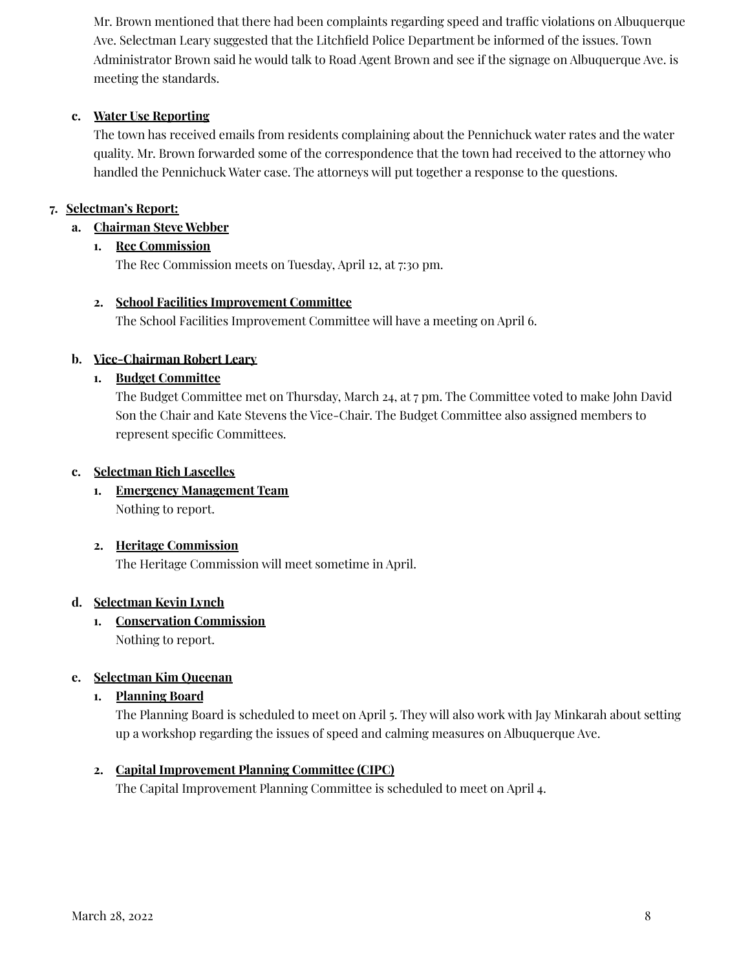Mr. Brown mentioned that there had been complaints regarding speed and traffic violations on Albuquerque Ave. Selectman Leary suggested that the Litchfield Police Department be informed of the issues. Town Administrator Brown said he would talk to Road Agent Brown and see if the signage on Albuquerque Ave. is meeting the standards.

## **c. Water Use Reporting**

The town has received emails from residents complaining about the Pennichuck water rates and the water quality. Mr. Brown forwarded some of the correspondence that the town had received to the attorney who handled the Pennichuck Water case. The attorneys will put together a response to the questions.

## **7. Selectman's Report:**

## **a. Chairman Steve Webber**

## **1. Rec Commission**

The Rec Commission meets on Tuesday, April 12, at 7:30 pm.

## **2. School Facilities Improvement Committee**

The School Facilities Improvement Committee will have a meeting on April 6.

## **b. Vice-Chairman Robert Leary**

# **1. Budget Committee**

The Budget Committee met on Thursday, March 24, at 7 pm. The Committee voted to make John David Son the Chair and Kate Stevens the Vice-Chair. The Budget Committee also assigned members to represent specific Committees.

## **c. Selectman Rich Lascelles**

**1. Emergency Management Team** Nothing to report.

# **2. Heritage Commission**

The Heritage Commission will meet sometime in April.

## **d. Selectman Kevin Lynch**

**1. Conservation Commission** Nothing to report.

# **e. Selectman Kim Queenan**

**1. Planning Board**

The Planning Board is scheduled to meet on April 5. They will also work with Jay Minkarah about setting up a workshop regarding the issues of speed and calming measures on Albuquerque Ave.

# **2. Capital Improvement Planning Committee (CIPC)**

The Capital Improvement Planning Committee is scheduled to meet on April 4.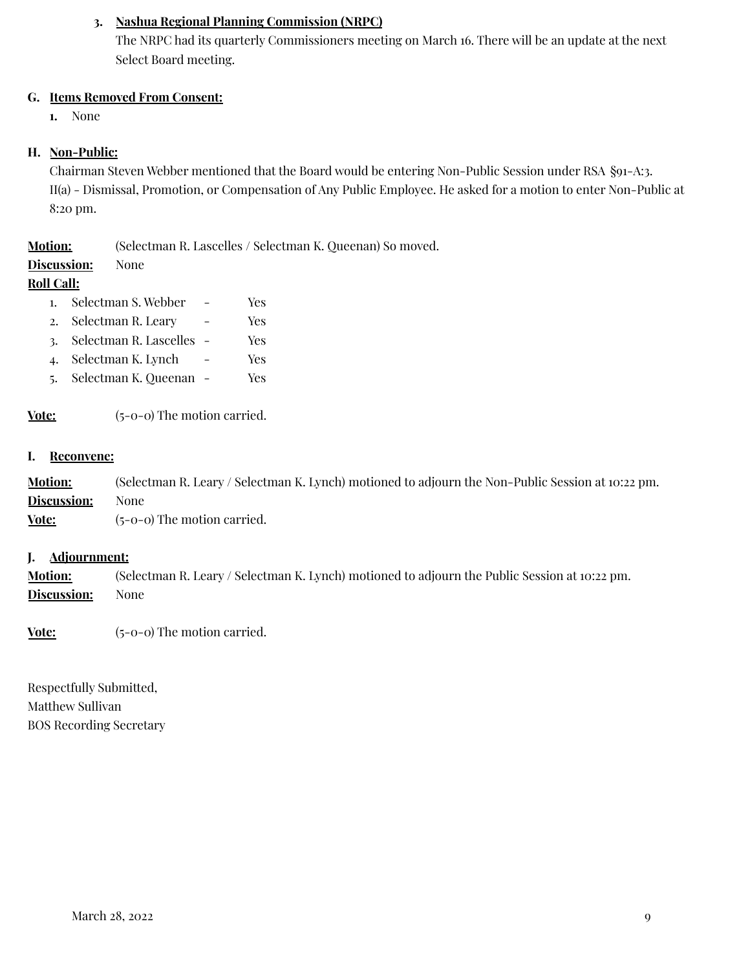## **3. Nashua Regional Planning Commission (NRPC)**

The NRPC had its quarterly Commissioners meeting on March 16. There will be an update at the next Select Board meeting.

#### **G. Items Removed From Consent:**

**1.** None

#### **H. Non-Public:**

Chairman Steven Webber mentioned that the Board would be entering Non-Public Session under RSA §91-A:3. II(a) - Dismissal, Promotion, or Compensation of Any Public Employee. He asked for a motion to enter Non-Public at 8:20 pm.

| <b>Motion:</b> | (Selectman R. Lascelles / Selectman K. Queenan) So moved. |  |  |
|----------------|-----------------------------------------------------------|--|--|
|                |                                                           |  |  |

**Discussion:** None

#### **Roll Call:**

- 1. Selectman S. Webber Yes
- 2. Selectman R. Leary Yes
- 3. Selectman R. Lascelles Yes
- 4. Selectman K. Lynch Yes
- 5. Selectman K. Queenan Yes

**Vote:** (5-0-0) The motion carried.

#### **I. Reconvene:**

**Motion:** (Selectman R. Leary / Selectman K. Lynch) motioned to adjourn the Non-Public Session at 10:22 pm. **Discussion:** None

**Vote:** (5-0-0) The motion carried.

#### **J. Adjournment:**

**Motion:** (Selectman R. Leary / Selectman K. Lynch) motioned to adjourn the Public Session at 10:22 pm. **Discussion:** None

**Vote:** (5-0-0) The motion carried.

Respectfully Submitted, Matthew Sullivan BOS Recording Secretary